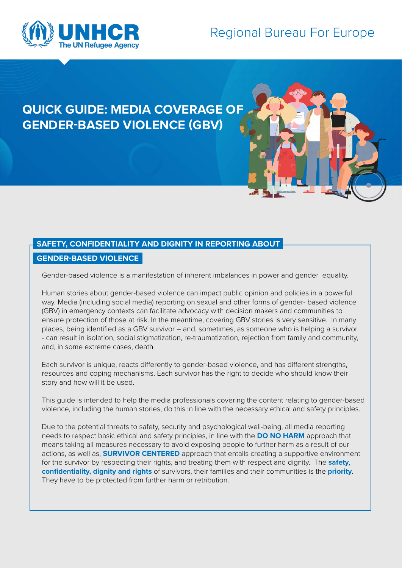

# Regional Bureau For Europe

## **QUICK GUIDE: MEDIA COVERAGE OF GENDER-BASED VIOLENCE (GBV)**

### **SAFETY, CONFIDENTIALITY AND DIGNITY IN REPORTING ABOUT**

#### **GENDER-BASED VIOLENCE**

Gender-based violence is a manifestation of inherent imbalances in power and gender equality.

Human stories about gender-based violence can impact public opinion and policies in a powerful way. Media (including social media) reporting on sexual and other forms of gender- based violence (GBV) in emergency contexts can facilitate advocacy with decision makers and communities to ensure protection of those at risk. In the meantime, covering GBV stories is very sensitive. In many places, being identified as a GBV survivor – and, sometimes, as someone who is helping a survivor - can result in isolation, social stigmatization, re-traumatization, rejection from family and community, and, in some extreme cases, death.

Each survivor is unique, reacts differently to gender-based violence, and has different strengths, resources and coping mechanisms. Each survivor has the right to decide who should know their story and how will it be used.

This guide is intended to help the media professionals covering the content relating to gender-based violence, including the human stories, do this in line with the necessary ethical and safety principles.

Due to the potential threats to safety, security and psychological well-being, all media reporting needs to respect basic ethical and safety principles, in line with the **DO NO HARM** approach that means taking all measures necessary to avoid exposing people to further harm as a result of our actions, as well as, **SURVIVOR CENTERED** approach that entails creating a supportive environment for the survivor by respecting their rights, and treating them with respect and dignity. The **safety**, **confidentiality, dignity and rights** of survivors, their families and their communities is the **priority**. They have to be protected from further harm or retribution.